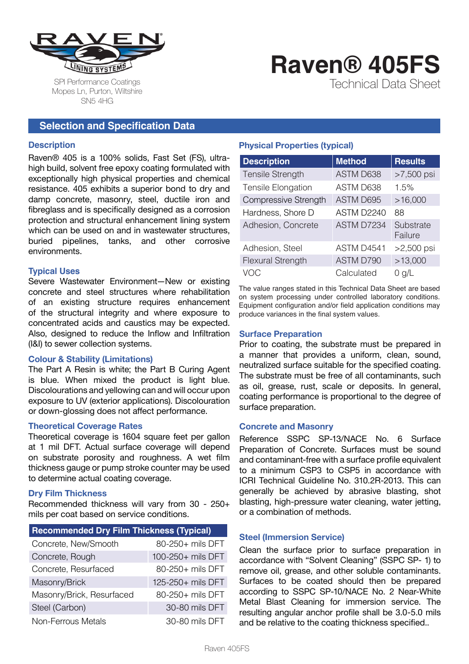

SPI Performance Coatings Mopes Ln, Purton, Wiltshire SN5 4HG

# **Raven® 405FS**

Technical Data Sheet

# **Selection and Specification Data**

#### **Description**

Raven® 405 is a 100% solids, Fast Set (FS), ultrahigh build, solvent free epoxy coating formulated with exceptionally high physical properties and chemical resistance. 405 exhibits a superior bond to dry and damp concrete, masonry, steel, ductile iron and fibreglass and is specifically designed as a corrosion protection and structural enhancement lining system which can be used on and in wastewater structures. buried pipelines, tanks, and other corrosive environments.

#### **Typical Uses**

Severe Wastewater Environment—New or existing concrete and steel structures where rehabilitation of an existing structure requires enhancement of the structural integrity and where exposure to concentrated acids and caustics may be expected. Also, designed to reduce the Inflow and Infiltration (I&I) to sewer collection systems.

# **Colour & Stability (Limitations)**

The Part A Resin is white; the Part B Curing Agent is blue. When mixed the product is light blue. Discolourations and yellowing can and will occur upon exposure to UV (exterior applications). Discolouration or down-glossing does not affect performance.

#### **Theoretical Coverage Rates**

Theoretical coverage is 1604 square feet per gallon at 1 mil DFT. Actual surface coverage will depend on substrate porosity and roughness. A wet film thickness gauge or pump stroke counter may be used to determine actual coating coverage.

# **Dry Film Thickness**

Recommended thickness will vary from 30 - 250+ mils per coat based on service conditions.

| <b>Recommended Dry Film Thickness (Typical)</b> |                   |  |
|-------------------------------------------------|-------------------|--|
| Concrete, New/Smooth                            | 80-250+ mils DFT  |  |
| Concrete, Rough                                 | 100-250+ mils DFT |  |
| Concrete, Resurfaced                            | 80-250+ mils DFT  |  |
| Masonry/Brick                                   | 125-250+ mils DFT |  |
| Masonry/Brick, Resurfaced                       | 80-250+ mils DFT  |  |
| Steel (Carbon)                                  | 30-80 mils DFT    |  |
| Non-Ferrous Metals                              | 30-80 mils DFT    |  |

# **Physical Properties (typical)**

| <b>Description</b>        | <b>Method</b> | <b>Results</b>       |
|---------------------------|---------------|----------------------|
| <b>Tensile Strength</b>   | ASTM D638     | >7,500 psi           |
| <b>Tensile Elongation</b> | ASTM D638     | 1.5%                 |
| Compressive Strength      | ASTM D695     | >16,000              |
| Hardness, Shore D         | ASTM D2240    | 88                   |
| Adhesion, Concrete        | ASTM D7234    | Substrate<br>Failure |
| Adhesion, Steel           | ASTM D4541    | $>2,500$ psi         |
| <b>Flexural Strength</b>  | ASTM D790     | >13,000              |
| VOC                       | Calculated    | $0$ g/L              |

The value ranges stated in this Technical Data Sheet are based on system processing under controlled laboratory conditions. Equipment configuration and/or field application conditions may produce variances in the final system values.

#### **Surface Preparation**

Prior to coating, the substrate must be prepared in a manner that provides a uniform, clean, sound, neutralized surface suitable for the specified coating. The substrate must be free of all contaminants, such as oil, grease, rust, scale or deposits. In general, coating performance is proportional to the degree of surface preparation.

#### **Concrete and Masonry**

Reference SSPC SP-13/NACE No. 6 Surface Preparation of Concrete. Surfaces must be sound and contaminant-free with a surface profile equivalent to a minimum CSP3 to CSP5 in accordance with ICRI Technical Guideline No. 310.2R-2013. This can generally be achieved by abrasive blasting, shot blasting, high-pressure water cleaning, water jetting, or a combination of methods.

# **Steel (Immersion Service)**

Clean the surface prior to surface preparation in accordance with "Solvent Cleaning" (SSPC SP- 1) to remove oil, grease, and other soluble contaminants. Surfaces to be coated should then be prepared according to SSPC SP-10/NACE No. 2 Near-White Metal Blast Cleaning for immersion service. The resulting angular anchor profile shall be 3.0-5.0 mils and be relative to the coating thickness specified..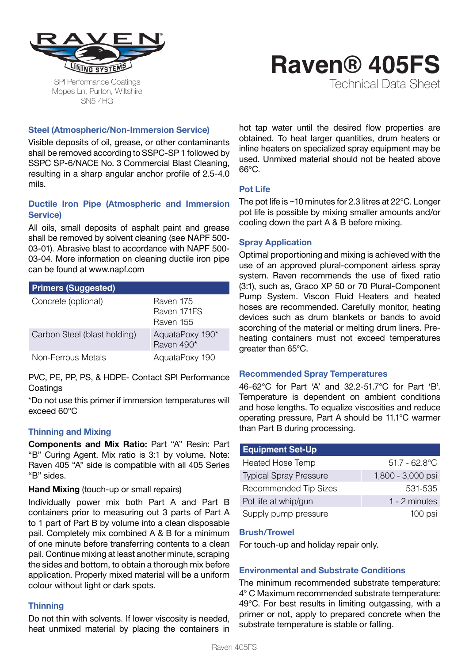

SPI Performance Coatings Mopes Ln, Purton, Wiltshire SN5 4HG

# **Raven® 405FS**

Technical Data Sheet

# **Steel (Atmospheric/Non-Immersion Service)**

Visible deposits of oil, grease, or other contaminants shall be removed according to SSPC-SP 1 followed by SSPC SP-6/NACE No. 3 Commercial Blast Cleaning, resulting in a sharp angular anchor profile of 2.5-4.0 mils.

# **Ductile Iron Pipe (Atmospheric and Immersion Service)**

All oils, small deposits of asphalt paint and grease shall be removed by solvent cleaning (see NAPF 500- 03-01). Abrasive blast to accordance with NAPF 500- 03-04. More information on cleaning ductile iron pipe can be found at www.napf.com

| <b>Primers (Suggested)</b>   |                                       |
|------------------------------|---------------------------------------|
| Concrete (optional)          | Raven 175<br>Raven 171FS<br>Raven 155 |
| Carbon Steel (blast holding) | AquataPoxy 190*<br>Raven 490*         |
| Non-Ferrous Metals           | AquataPoxy 190                        |

PVC, PE, PP, PS, & HDPE- Contact SPI Performance **Coatings** 

\*Do not use this primer if immersion temperatures will exceed 60°C

# **Thinning and Mixing**

**Components and Mix Ratio:** Part "A" Resin: Part "B" Curing Agent. Mix ratio is 3:1 by volume. Note: Raven 405 "A" side is compatible with all 405 Series "B" sides.

# **Hand Mixing** (touch-up or small repairs)

Individually power mix both Part A and Part B containers prior to measuring out 3 parts of Part A to 1 part of Part B by volume into a clean disposable pail. Completely mix combined A & B for a minimum of one minute before transferring contents to a clean pail. Continue mixing at least another minute, scraping the sides and bottom, to obtain a thorough mix before application. Properly mixed material will be a uniform colour without light or dark spots.

# **Thinning**

Do not thin with solvents. If lower viscosity is needed, heat unmixed material by placing the containers in hot tap water until the desired flow properties are obtained. To heat larger quantities, drum heaters or inline heaters on specialized spray equipment may be used. Unmixed material should not be heated above  $G^{\circ}G$ 

# **Pot Life**

The pot life is ~10 minutes for 2.3 litres at 22°C. Longer pot life is possible by mixing smaller amounts and/or cooling down the part A & B before mixing.

# **Spray Application**

Optimal proportioning and mixing is achieved with the use of an approved plural-component airless spray system. Raven recommends the use of fixed ratio (3:1), such as, Graco XP 50 or 70 Plural-Component Pump System. Viscon Fluid Heaters and heated hoses are recommended. Carefully monitor, heating devices such as drum blankets or bands to avoid scorching of the material or melting drum liners. Preheating containers must not exceed temperatures greater than 65°C.

# **Recommended Spray Temperatures**

46-62°C for Part 'A' and 32.2-51.7°C for Part 'B'. Temperature is dependent on ambient conditions and hose lengths. To equalize viscosities and reduce operating pressure, Part A should be 11.1°C warmer than Part B during processing.

| <b>Equipment Set-Up</b>       |                   |
|-------------------------------|-------------------|
| <b>Heated Hose Temp</b>       | $51.7 - 62.8$ °C  |
| <b>Typical Spray Pressure</b> | 1,800 - 3,000 psi |
| <b>Recommended Tip Sizes</b>  | 531-535           |
| Pot life at whip/gun          | 1 - 2 minutes     |
| Supply pump pressure          | 100 psi           |

#### **Brush/Trowel**

For touch-up and holiday repair only.

# **Environmental and Substrate Conditions**

The minimum recommended substrate temperature: 4° C Maximum recommended substrate temperature: 49°C. For best results in limiting outgassing, with a primer or not, apply to prepared concrete when the substrate temperature is stable or falling.